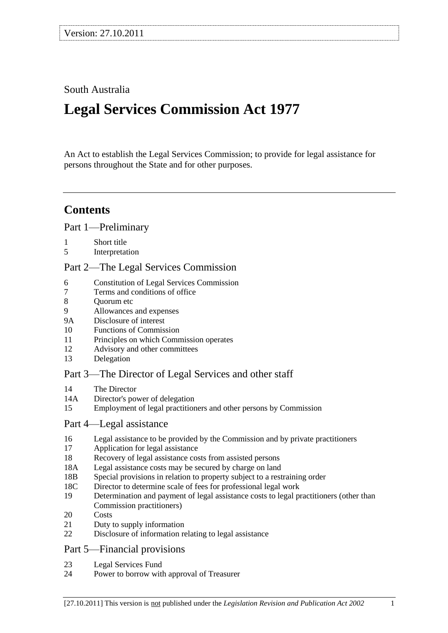## South Australia

# **Legal Services Commission Act 1977**

An Act to establish the Legal Services Commission; to provide for legal assistance for persons throughout the State and for other purposes.

## **Contents**

[Part 1—Preliminary](#page-1-0)

5 [Interpretation](#page-1-2)

#### [Part 2—The Legal Services Commission](#page-2-0)

- 6 [Constitution of Legal Services Commission](#page-2-1)
- 7 [Terms and conditions of office](#page-3-0)
- 8 [Quorum etc](#page-3-1)
- 9 [Allowances and expenses](#page-4-0)
- 9A [Disclosure of interest](#page-4-1)
- 10 [Functions of Commission](#page-5-0)
- 11 [Principles on which Commission operates](#page-6-0)
- 12 [Advisory and other committees](#page-6-1)
- 13 [Delegation](#page-6-2)

#### [Part 3—The Director of Legal Services and other staff](#page-7-0)

- 14 [The Director](#page-7-1)
- 14A [Director's power of delegation](#page-7-2)
- 15 [Employment of legal practitioners and other persons by Commission](#page-7-3)

#### [Part 4—Legal assistance](#page-7-4)

- 16 [Legal assistance to be provided by the Commission and by private practitioners](#page-7-5)
- 17 [Application for legal assistance](#page-8-0)
- 18 [Recovery of legal assistance costs from assisted persons](#page-8-1)
- 18A [Legal assistance costs may be secured by charge on land](#page-9-0)
- 18B [Special provisions in relation to property subject to a restraining order](#page-10-0)
- 18C [Director to determine scale of fees for professional legal work](#page-10-1)
- 19 [Determination and payment of legal assistance costs to legal practitioners \(other](#page-10-2) than [Commission practitioners\)](#page-10-2)
- 20 [Costs](#page-11-0)
- 21 [Duty to supply information](#page-11-1)
- 22 [Disclosure of information relating to legal assistance](#page-12-0)

#### [Part 5—Financial provisions](#page-12-1)

- 23 [Legal Services Fund](#page-12-2)
- 24 [Power to borrow with approval of Treasurer](#page-12-3)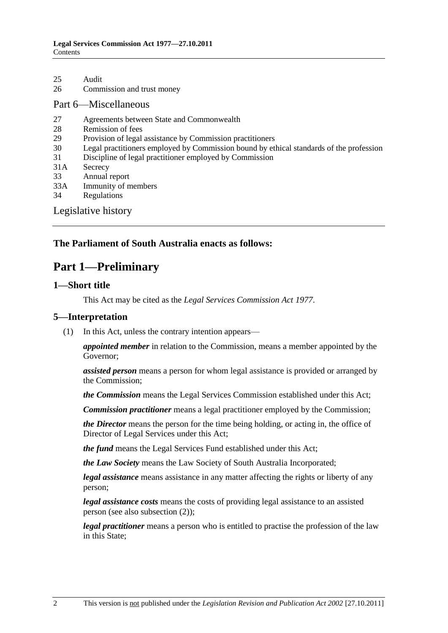26 [Commission and trust money](#page-13-1)

#### [Part 6—Miscellaneous](#page-13-2)

- 27 [Agreements between State and Commonwealth](#page-13-3)
- 28 [Remission of fees](#page-13-4)<br>29 Provision of legal
- [Provision of legal assistance by Commission practitioners](#page-14-0)
- 30 [Legal practitioners employed by Commission bound by ethical standards of the profession](#page-14-1)
- 31 [Discipline of legal practitioner employed by Commission](#page-14-2)
- 31A [Secrecy](#page-15-0)
- 33 [Annual report](#page-15-1)
- 33A [Immunity of members](#page-15-2)
- 34 [Regulations](#page-16-0)

#### [Legislative history](#page-17-0)

#### <span id="page-1-0"></span>**The Parliament of South Australia enacts as follows:**

### **Part 1—Preliminary**

#### <span id="page-1-1"></span>**1—Short title**

This Act may be cited as the *Legal Services Commission Act 1977*.

#### <span id="page-1-2"></span>**5—Interpretation**

(1) In this Act, unless the contrary intention appears—

*appointed member* in relation to the Commission, means a member appointed by the Governor;

*assisted person* means a person for whom legal assistance is provided or arranged by the Commission;

*the Commission* means the Legal Services Commission established under this Act;

*Commission practitioner* means a legal practitioner employed by the Commission;

*the Director* means the person for the time being holding, or acting in, the office of Director of Legal Services under this Act;

*the fund* means the Legal Services Fund established under this Act;

*the Law Society* means the Law Society of South Australia Incorporated;

*legal assistance* means assistance in any matter affecting the rights or liberty of any person;

*legal assistance costs* means the costs of providing legal assistance to an assisted person (see also [subsection](#page-2-2) (2));

*legal practitioner* means a person who is entitled to practise the profession of the law in this State;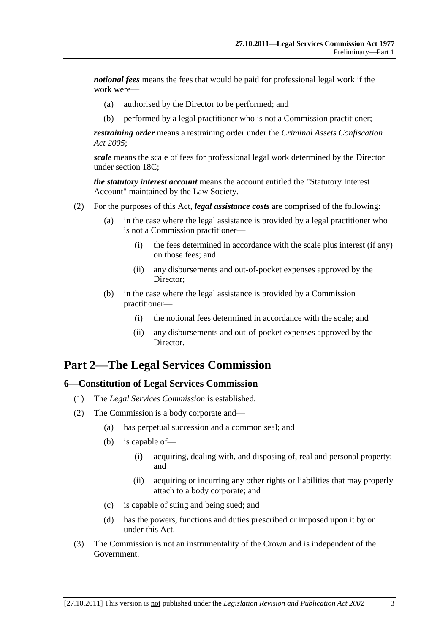*notional fees* means the fees that would be paid for professional legal work if the work were—

- (a) authorised by the Director to be performed; and
- (b) performed by a legal practitioner who is not a Commission practitioner;

*restraining order* means a restraining order under the *[Criminal Assets Confiscation](http://www.legislation.sa.gov.au/index.aspx?action=legref&type=act&legtitle=Criminal%20Assets%20Confiscation%20Act%202005)  Act [2005](http://www.legislation.sa.gov.au/index.aspx?action=legref&type=act&legtitle=Criminal%20Assets%20Confiscation%20Act%202005)*;

*scale* means the scale of fees for professional legal work determined by the Director under [section](#page-10-1) 18C;

*the statutory interest account* means the account entitled the "Statutory Interest Account" maintained by the Law Society.

- <span id="page-2-2"></span>(2) For the purposes of this Act, *legal assistance costs* are comprised of the following:
	- (a) in the case where the legal assistance is provided by a legal practitioner who is not a Commission practitioner—
		- (i) the fees determined in accordance with the scale plus interest (if any) on those fees; and
		- (ii) any disbursements and out-of-pocket expenses approved by the Director;
	- (b) in the case where the legal assistance is provided by a Commission practitioner—
		- (i) the notional fees determined in accordance with the scale; and
		- (ii) any disbursements and out-of-pocket expenses approved by the Director.

## <span id="page-2-0"></span>**Part 2—The Legal Services Commission**

#### <span id="page-2-1"></span>**6—Constitution of Legal Services Commission**

- (1) The *Legal Services Commission* is established.
- (2) The Commission is a body corporate and—
	- (a) has perpetual succession and a common seal; and
	- (b) is capable of—
		- (i) acquiring, dealing with, and disposing of, real and personal property; and
		- (ii) acquiring or incurring any other rights or liabilities that may properly attach to a body corporate; and
	- (c) is capable of suing and being sued; and
	- (d) has the powers, functions and duties prescribed or imposed upon it by or under this Act.
- (3) The Commission is not an instrumentality of the Crown and is independent of the Government.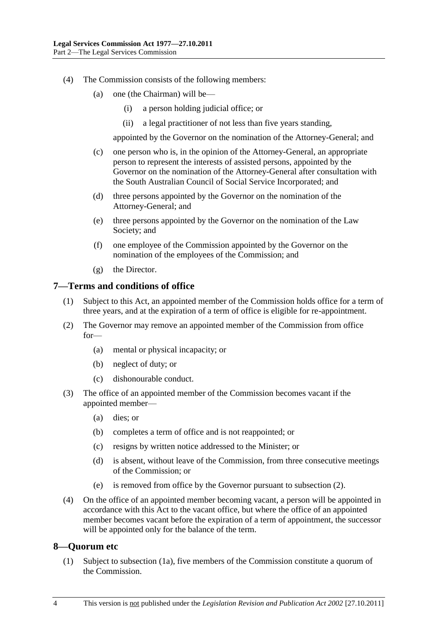- (4) The Commission consists of the following members:
	- (a) one (the Chairman) will be—
		- (i) a person holding judicial office; or
		- (ii) a legal practitioner of not less than five years standing,

appointed by the Governor on the nomination of the Attorney-General; and

- (c) one person who is, in the opinion of the Attorney-General, an appropriate person to represent the interests of assisted persons, appointed by the Governor on the nomination of the Attorney-General after consultation with the South Australian Council of Social Service Incorporated; and
- (d) three persons appointed by the Governor on the nomination of the Attorney-General; and
- (e) three persons appointed by the Governor on the nomination of the Law Society; and
- (f) one employee of the Commission appointed by the Governor on the nomination of the employees of the Commission; and
- (g) the Director.

#### <span id="page-3-0"></span>**7—Terms and conditions of office**

- (1) Subject to this Act, an appointed member of the Commission holds office for a term of three years, and at the expiration of a term of office is eligible for re-appointment.
- <span id="page-3-2"></span>(2) The Governor may remove an appointed member of the Commission from office for—
	- (a) mental or physical incapacity; or
	- (b) neglect of duty; or
	- (c) dishonourable conduct.
- (3) The office of an appointed member of the Commission becomes vacant if the appointed member—
	- (a) dies; or
	- (b) completes a term of office and is not reappointed; or
	- (c) resigns by written notice addressed to the Minister; or
	- (d) is absent, without leave of the Commission, from three consecutive meetings of the Commission; or
	- (e) is removed from office by the Governor pursuant to [subsection](#page-3-2) (2).
- (4) On the office of an appointed member becoming vacant, a person will be appointed in accordance with this Act to the vacant office, but where the office of an appointed member becomes vacant before the expiration of a term of appointment, the successor will be appointed only for the balance of the term.

#### <span id="page-3-1"></span>**8—Quorum etc**

(1) Subject to [subsection](#page-4-2) (1a), five members of the Commission constitute a quorum of the Commission.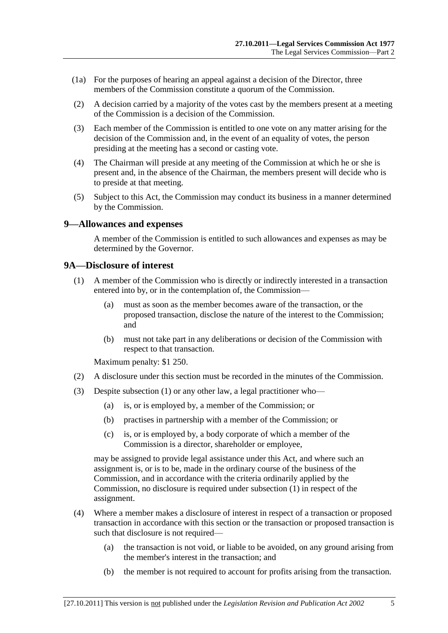- <span id="page-4-2"></span>(1a) For the purposes of hearing an appeal against a decision of the Director, three members of the Commission constitute a quorum of the Commission.
- (2) A decision carried by a majority of the votes cast by the members present at a meeting of the Commission is a decision of the Commission.
- (3) Each member of the Commission is entitled to one vote on any matter arising for the decision of the Commission and, in the event of an equality of votes, the person presiding at the meeting has a second or casting vote.
- (4) The Chairman will preside at any meeting of the Commission at which he or she is present and, in the absence of the Chairman, the members present will decide who is to preside at that meeting.
- (5) Subject to this Act, the Commission may conduct its business in a manner determined by the Commission.

#### <span id="page-4-0"></span>**9—Allowances and expenses**

A member of the Commission is entitled to such allowances and expenses as may be determined by the Governor.

#### <span id="page-4-3"></span><span id="page-4-1"></span>**9A—Disclosure of interest**

- (1) A member of the Commission who is directly or indirectly interested in a transaction entered into by, or in the contemplation of, the Commission—
	- (a) must as soon as the member becomes aware of the transaction, or the proposed transaction, disclose the nature of the interest to the Commission; and
	- (b) must not take part in any deliberations or decision of the Commission with respect to that transaction.

Maximum penalty: \$1 250.

- (2) A disclosure under this section must be recorded in the minutes of the Commission.
- (3) Despite [subsection](#page-4-3) (1) or any other law, a legal practitioner who—
	- (a) is, or is employed by, a member of the Commission; or
	- (b) practises in partnership with a member of the Commission; or
	- (c) is, or is employed by, a body corporate of which a member of the Commission is a director, shareholder or employee,

may be assigned to provide legal assistance under this Act, and where such an assignment is, or is to be, made in the ordinary course of the business of the Commission, and in accordance with the criteria ordinarily applied by the Commission, no disclosure is required under [subsection](#page-4-3) (1) in respect of the assignment.

- (4) Where a member makes a disclosure of interest in respect of a transaction or proposed transaction in accordance with this section or the transaction or proposed transaction is such that disclosure is not required—
	- (a) the transaction is not void, or liable to be avoided, on any ground arising from the member's interest in the transaction; and
	- (b) the member is not required to account for profits arising from the transaction.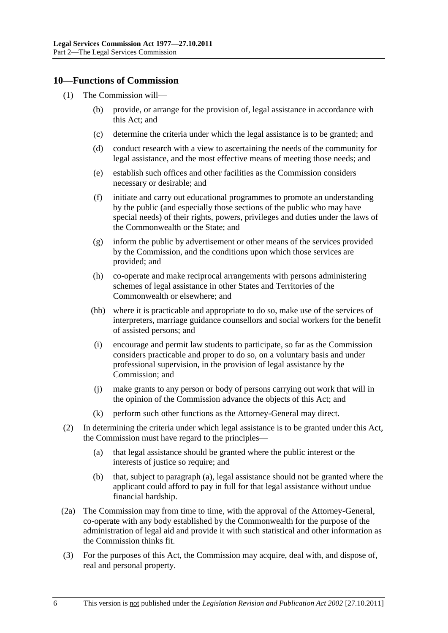#### <span id="page-5-0"></span>**10—Functions of Commission**

- (1) The Commission will—
	- (b) provide, or arrange for the provision of, legal assistance in accordance with this Act; and
	- (c) determine the criteria under which the legal assistance is to be granted; and
	- (d) conduct research with a view to ascertaining the needs of the community for legal assistance, and the most effective means of meeting those needs; and
	- (e) establish such offices and other facilities as the Commission considers necessary or desirable; and
	- (f) initiate and carry out educational programmes to promote an understanding by the public (and especially those sections of the public who may have special needs) of their rights, powers, privileges and duties under the laws of the Commonwealth or the State; and
	- (g) inform the public by advertisement or other means of the services provided by the Commission, and the conditions upon which those services are provided; and
	- (h) co-operate and make reciprocal arrangements with persons administering schemes of legal assistance in other States and Territories of the Commonwealth or elsewhere; and
	- (hb) where it is practicable and appropriate to do so, make use of the services of interpreters, marriage guidance counsellors and social workers for the benefit of assisted persons; and
	- (i) encourage and permit law students to participate, so far as the Commission considers practicable and proper to do so, on a voluntary basis and under professional supervision, in the provision of legal assistance by the Commission; and
	- (j) make grants to any person or body of persons carrying out work that will in the opinion of the Commission advance the objects of this Act; and
	- (k) perform such other functions as the Attorney-General may direct.
- <span id="page-5-1"></span>(2) In determining the criteria under which legal assistance is to be granted under this Act, the Commission must have regard to the principles—
	- (a) that legal assistance should be granted where the public interest or the interests of justice so require; and
	- (b) that, subject to [paragraph](#page-5-1) (a), legal assistance should not be granted where the applicant could afford to pay in full for that legal assistance without undue financial hardship.
- (2a) The Commission may from time to time, with the approval of the Attorney-General, co-operate with any body established by the Commonwealth for the purpose of the administration of legal aid and provide it with such statistical and other information as the Commission thinks fit.
- (3) For the purposes of this Act, the Commission may acquire, deal with, and dispose of, real and personal property.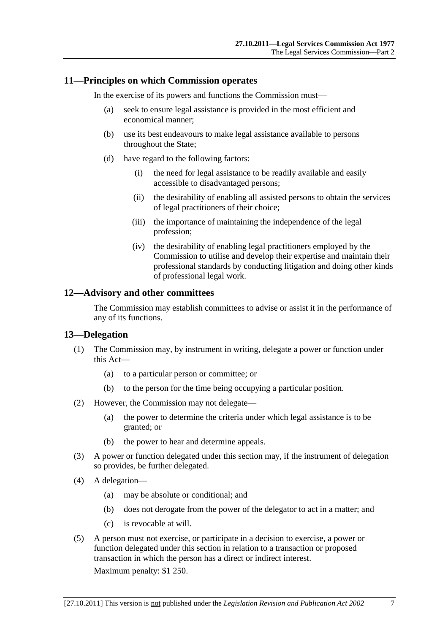#### <span id="page-6-0"></span>**11—Principles on which Commission operates**

In the exercise of its powers and functions the Commission must—

- (a) seek to ensure legal assistance is provided in the most efficient and economical manner;
- (b) use its best endeavours to make legal assistance available to persons throughout the State;
- (d) have regard to the following factors:
	- (i) the need for legal assistance to be readily available and easily accessible to disadvantaged persons;
	- (ii) the desirability of enabling all assisted persons to obtain the services of legal practitioners of their choice;
	- (iii) the importance of maintaining the independence of the legal profession;
	- (iv) the desirability of enabling legal practitioners employed by the Commission to utilise and develop their expertise and maintain their professional standards by conducting litigation and doing other kinds of professional legal work.

#### <span id="page-6-1"></span>**12—Advisory and other committees**

The Commission may establish committees to advise or assist it in the performance of any of its functions.

#### <span id="page-6-2"></span>**13—Delegation**

- (1) The Commission may, by instrument in writing, delegate a power or function under this Act—
	- (a) to a particular person or committee; or
	- (b) to the person for the time being occupying a particular position.
- (2) However, the Commission may not delegate—
	- (a) the power to determine the criteria under which legal assistance is to be granted; or
	- (b) the power to hear and determine appeals.
- (3) A power or function delegated under this section may, if the instrument of delegation so provides, be further delegated.
- (4) A delegation—
	- (a) may be absolute or conditional; and
	- (b) does not derogate from the power of the delegator to act in a matter; and
	- (c) is revocable at will.
- (5) A person must not exercise, or participate in a decision to exercise, a power or function delegated under this section in relation to a transaction or proposed transaction in which the person has a direct or indirect interest.

Maximum penalty: \$1 250.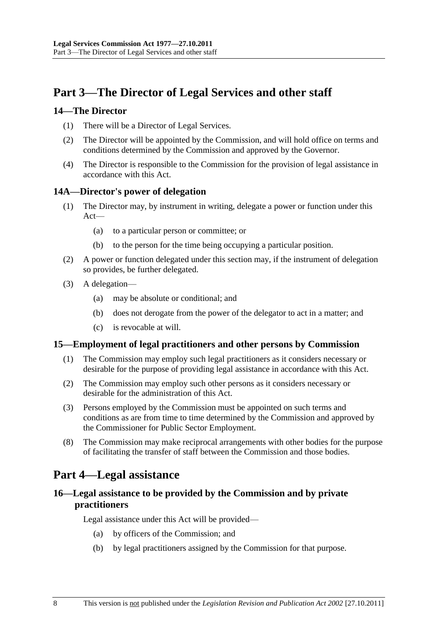## <span id="page-7-0"></span>**Part 3—The Director of Legal Services and other staff**

#### <span id="page-7-1"></span>**14—The Director**

- (1) There will be a Director of Legal Services.
- (2) The Director will be appointed by the Commission, and will hold office on terms and conditions determined by the Commission and approved by the Governor.
- (4) The Director is responsible to the Commission for the provision of legal assistance in accordance with this Act.

#### <span id="page-7-2"></span>**14A—Director's power of delegation**

- (1) The Director may, by instrument in writing, delegate a power or function under this Act—
	- (a) to a particular person or committee; or
	- (b) to the person for the time being occupying a particular position.
- (2) A power or function delegated under this section may, if the instrument of delegation so provides, be further delegated.
- (3) A delegation—
	- (a) may be absolute or conditional; and
	- (b) does not derogate from the power of the delegator to act in a matter; and
	- (c) is revocable at will.

#### <span id="page-7-3"></span>**15—Employment of legal practitioners and other persons by Commission**

- (1) The Commission may employ such legal practitioners as it considers necessary or desirable for the purpose of providing legal assistance in accordance with this Act.
- (2) The Commission may employ such other persons as it considers necessary or desirable for the administration of this Act.
- (3) Persons employed by the Commission must be appointed on such terms and conditions as are from time to time determined by the Commission and approved by the Commissioner for Public Sector Employment.
- (8) The Commission may make reciprocal arrangements with other bodies for the purpose of facilitating the transfer of staff between the Commission and those bodies.

## <span id="page-7-4"></span>**Part 4—Legal assistance**

#### <span id="page-7-5"></span>**16—Legal assistance to be provided by the Commission and by private practitioners**

Legal assistance under this Act will be provided—

- (a) by officers of the Commission; and
- (b) by legal practitioners assigned by the Commission for that purpose.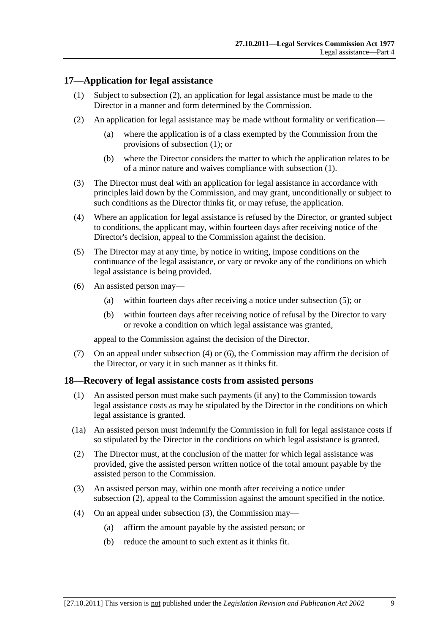#### <span id="page-8-3"></span><span id="page-8-0"></span>**17—Application for legal assistance**

- (1) Subject to [subsection](#page-8-2) (2), an application for legal assistance must be made to the Director in a manner and form determined by the Commission.
- <span id="page-8-2"></span>(2) An application for legal assistance may be made without formality or verification—
	- (a) where the application is of a class exempted by the Commission from the provisions of [subsection](#page-8-3) (1); or
	- (b) where the Director considers the matter to which the application relates to be of a minor nature and waives compliance with [subsection](#page-8-3) (1).
- (3) The Director must deal with an application for legal assistance in accordance with principles laid down by the Commission, and may grant, unconditionally or subject to such conditions as the Director thinks fit, or may refuse, the application.
- <span id="page-8-5"></span>(4) Where an application for legal assistance is refused by the Director, or granted subject to conditions, the applicant may, within fourteen days after receiving notice of the Director's decision, appeal to the Commission against the decision.
- <span id="page-8-4"></span>(5) The Director may at any time, by notice in writing, impose conditions on the continuance of the legal assistance, or vary or revoke any of the conditions on which legal assistance is being provided.
- <span id="page-8-6"></span>(6) An assisted person may—
	- (a) within fourteen days after receiving a notice under [subsection](#page-8-4) (5); or
	- (b) within fourteen days after receiving notice of refusal by the Director to vary or revoke a condition on which legal assistance was granted,

appeal to the Commission against the decision of the Director.

(7) On an appeal under [subsection](#page-8-5) (4) or [\(6\),](#page-8-6) the Commission may affirm the decision of the Director, or vary it in such manner as it thinks fit.

#### <span id="page-8-1"></span>**18—Recovery of legal assistance costs from assisted persons**

- (1) An assisted person must make such payments (if any) to the Commission towards legal assistance costs as may be stipulated by the Director in the conditions on which legal assistance is granted.
- (1a) An assisted person must indemnify the Commission in full for legal assistance costs if so stipulated by the Director in the conditions on which legal assistance is granted.
- <span id="page-8-7"></span>(2) The Director must, at the conclusion of the matter for which legal assistance was provided, give the assisted person written notice of the total amount payable by the assisted person to the Commission.
- <span id="page-8-8"></span>(3) An assisted person may, within one month after receiving a notice under [subsection](#page-8-7) (2), appeal to the Commission against the amount specified in the notice.
- (4) On an appeal under [subsection](#page-8-8) (3), the Commission may—
	- (a) affirm the amount payable by the assisted person; or
	- (b) reduce the amount to such extent as it thinks fit.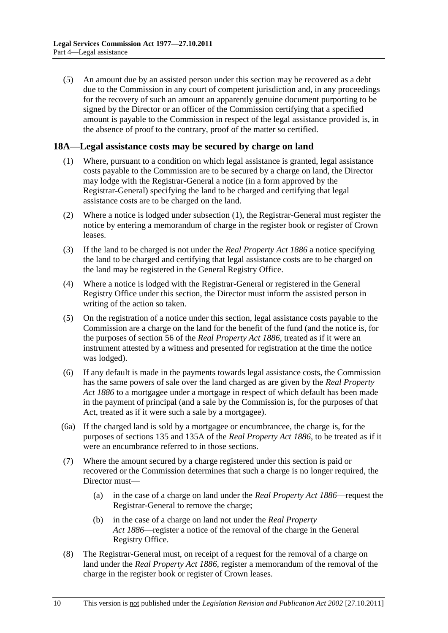(5) An amount due by an assisted person under this section may be recovered as a debt due to the Commission in any court of competent jurisdiction and, in any proceedings for the recovery of such an amount an apparently genuine document purporting to be signed by the Director or an officer of the Commission certifying that a specified amount is payable to the Commission in respect of the legal assistance provided is, in the absence of proof to the contrary, proof of the matter so certified.

#### <span id="page-9-1"></span><span id="page-9-0"></span>**18A—Legal assistance costs may be secured by charge on land**

- (1) Where, pursuant to a condition on which legal assistance is granted, legal assistance costs payable to the Commission are to be secured by a charge on land, the Director may lodge with the Registrar-General a notice (in a form approved by the Registrar-General) specifying the land to be charged and certifying that legal assistance costs are to be charged on the land.
- (2) Where a notice is lodged under [subsection](#page-9-1) (1), the Registrar-General must register the notice by entering a memorandum of charge in the register book or register of Crown leases.
- (3) If the land to be charged is not under the *[Real Property Act](http://www.legislation.sa.gov.au/index.aspx?action=legref&type=act&legtitle=Real%20Property%20Act%201886) 1886* a notice specifying the land to be charged and certifying that legal assistance costs are to be charged on the land may be registered in the General Registry Office.
- (4) Where a notice is lodged with the Registrar-General or registered in the General Registry Office under this section, the Director must inform the assisted person in writing of the action so taken.
- (5) On the registration of a notice under this section, legal assistance costs payable to the Commission are a charge on the land for the benefit of the fund (and the notice is, for the purposes of section 56 of the *[Real Property Act](http://www.legislation.sa.gov.au/index.aspx?action=legref&type=act&legtitle=Real%20Property%20Act%201886) 1886*, treated as if it were an instrument attested by a witness and presented for registration at the time the notice was lodged).
- (6) If any default is made in the payments towards legal assistance costs, the Commission has the same powers of sale over the land charged as are given by the *[Real Property](http://www.legislation.sa.gov.au/index.aspx?action=legref&type=act&legtitle=Real%20Property%20Act%201886)  Act [1886](http://www.legislation.sa.gov.au/index.aspx?action=legref&type=act&legtitle=Real%20Property%20Act%201886)* to a mortgagee under a mortgage in respect of which default has been made in the payment of principal (and a sale by the Commission is, for the purposes of that Act, treated as if it were such a sale by a mortgagee).
- (6a) If the charged land is sold by a mortgagee or encumbrancee, the charge is, for the purposes of sections 135 and 135A of the *[Real Property Act](http://www.legislation.sa.gov.au/index.aspx?action=legref&type=act&legtitle=Real%20Property%20Act%201886) 1886*, to be treated as if it were an encumbrance referred to in those sections.
- (7) Where the amount secured by a charge registered under this section is paid or recovered or the Commission determines that such a charge is no longer required, the Director must—
	- (a) in the case of a charge on land under the *[Real Property Act](http://www.legislation.sa.gov.au/index.aspx?action=legref&type=act&legtitle=Real%20Property%20Act%201886) 1886*—request the Registrar-General to remove the charge;
	- (b) in the case of a charge on land not under the *[Real Property](http://www.legislation.sa.gov.au/index.aspx?action=legref&type=act&legtitle=Real%20Property%20Act%201886)  Act [1886](http://www.legislation.sa.gov.au/index.aspx?action=legref&type=act&legtitle=Real%20Property%20Act%201886)*—register a notice of the removal of the charge in the General Registry Office.
- (8) The Registrar-General must, on receipt of a request for the removal of a charge on land under the *[Real Property Act](http://www.legislation.sa.gov.au/index.aspx?action=legref&type=act&legtitle=Real%20Property%20Act%201886) 1886*, register a memorandum of the removal of the charge in the register book or register of Crown leases.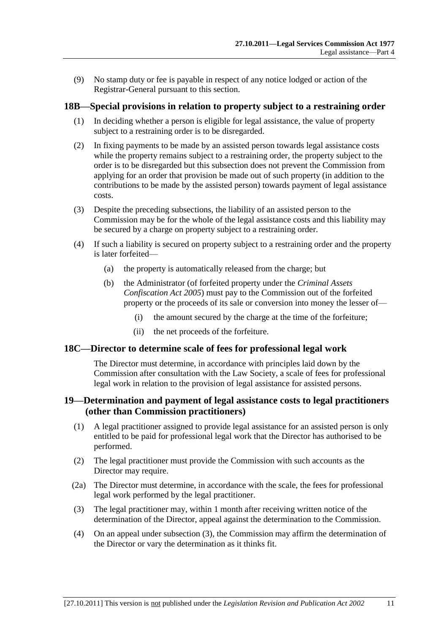(9) No stamp duty or fee is payable in respect of any notice lodged or action of the Registrar-General pursuant to this section.

#### <span id="page-10-0"></span>**18B—Special provisions in relation to property subject to a restraining order**

- (1) In deciding whether a person is eligible for legal assistance, the value of property subject to a restraining order is to be disregarded.
- (2) In fixing payments to be made by an assisted person towards legal assistance costs while the property remains subject to a restraining order, the property subject to the order is to be disregarded but this subsection does not prevent the Commission from applying for an order that provision be made out of such property (in addition to the contributions to be made by the assisted person) towards payment of legal assistance costs.
- (3) Despite the preceding subsections, the liability of an assisted person to the Commission may be for the whole of the legal assistance costs and this liability may be secured by a charge on property subject to a restraining order.
- (4) If such a liability is secured on property subject to a restraining order and the property is later forfeited—
	- (a) the property is automatically released from the charge; but
	- (b) the Administrator (of forfeited property under the *[Criminal Assets](http://www.legislation.sa.gov.au/index.aspx?action=legref&type=act&legtitle=Criminal%20Assets%20Confiscation%20Act%202005)  [Confiscation Act](http://www.legislation.sa.gov.au/index.aspx?action=legref&type=act&legtitle=Criminal%20Assets%20Confiscation%20Act%202005) 2005*) must pay to the Commission out of the forfeited property or the proceeds of its sale or conversion into money the lesser of—
		- (i) the amount secured by the charge at the time of the forfeiture;
		- (ii) the net proceeds of the forfeiture.

#### <span id="page-10-1"></span>**18C—Director to determine scale of fees for professional legal work**

The Director must determine, in accordance with principles laid down by the Commission after consultation with the Law Society, a scale of fees for professional legal work in relation to the provision of legal assistance for assisted persons.

#### <span id="page-10-2"></span>**19—Determination and payment of legal assistance costs to legal practitioners (other than Commission practitioners)**

- (1) A legal practitioner assigned to provide legal assistance for an assisted person is only entitled to be paid for professional legal work that the Director has authorised to be performed.
- (2) The legal practitioner must provide the Commission with such accounts as the Director may require.
- (2a) The Director must determine, in accordance with the scale, the fees for professional legal work performed by the legal practitioner.
- <span id="page-10-3"></span>(3) The legal practitioner may, within 1 month after receiving written notice of the determination of the Director, appeal against the determination to the Commission.
- (4) On an appeal under [subsection](#page-10-3) (3), the Commission may affirm the determination of the Director or vary the determination as it thinks fit.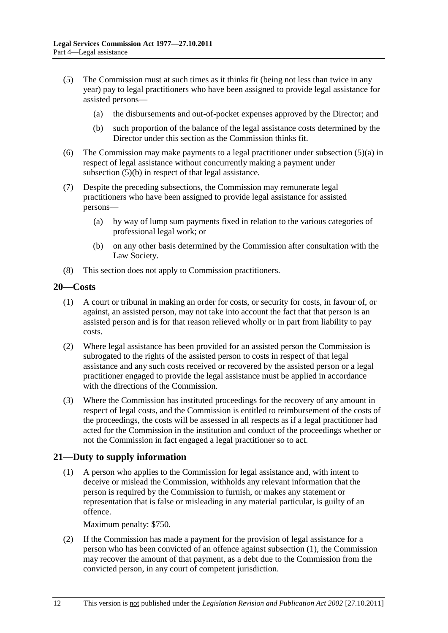- <span id="page-11-2"></span>(5) The Commission must at such times as it thinks fit (being not less than twice in any year) pay to legal practitioners who have been assigned to provide legal assistance for assisted persons—
	- (a) the disbursements and out-of-pocket expenses approved by the Director; and
	- (b) such proportion of the balance of the legal assistance costs determined by the Director under this section as the Commission thinks fit.
- <span id="page-11-3"></span>(6) The Commission may make payments to a legal practitioner under [subsection](#page-11-2) (5)(a) in respect of legal assistance without concurrently making a payment under [subsection](#page-11-3) (5)(b) in respect of that legal assistance.
- (7) Despite the preceding subsections, the Commission may remunerate legal practitioners who have been assigned to provide legal assistance for assisted persons—
	- (a) by way of lump sum payments fixed in relation to the various categories of professional legal work; or
	- (b) on any other basis determined by the Commission after consultation with the Law Society.
- (8) This section does not apply to Commission practitioners.

#### <span id="page-11-0"></span>**20—Costs**

- (1) A court or tribunal in making an order for costs, or security for costs, in favour of, or against, an assisted person, may not take into account the fact that that person is an assisted person and is for that reason relieved wholly or in part from liability to pay costs.
- (2) Where legal assistance has been provided for an assisted person the Commission is subrogated to the rights of the assisted person to costs in respect of that legal assistance and any such costs received or recovered by the assisted person or a legal practitioner engaged to provide the legal assistance must be applied in accordance with the directions of the Commission.
- (3) Where the Commission has instituted proceedings for the recovery of any amount in respect of legal costs, and the Commission is entitled to reimbursement of the costs of the proceedings, the costs will be assessed in all respects as if a legal practitioner had acted for the Commission in the institution and conduct of the proceedings whether or not the Commission in fact engaged a legal practitioner so to act.

#### <span id="page-11-4"></span><span id="page-11-1"></span>**21—Duty to supply information**

(1) A person who applies to the Commission for legal assistance and, with intent to deceive or mislead the Commission, withholds any relevant information that the person is required by the Commission to furnish, or makes any statement or representation that is false or misleading in any material particular, is guilty of an offence.

Maximum penalty: \$750.

(2) If the Commission has made a payment for the provision of legal assistance for a person who has been convicted of an offence against [subsection](#page-11-4) (1), the Commission may recover the amount of that payment, as a debt due to the Commission from the convicted person, in any court of competent jurisdiction.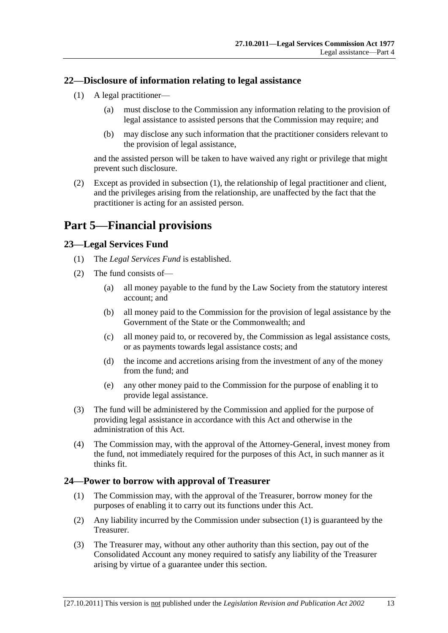#### <span id="page-12-4"></span><span id="page-12-0"></span>**22—Disclosure of information relating to legal assistance**

- (1) A legal practitioner—
	- (a) must disclose to the Commission any information relating to the provision of legal assistance to assisted persons that the Commission may require; and
	- (b) may disclose any such information that the practitioner considers relevant to the provision of legal assistance,

and the assisted person will be taken to have waived any right or privilege that might prevent such disclosure.

(2) Except as provided in [subsection](#page-12-4) (1), the relationship of legal practitioner and client, and the privileges arising from the relationship, are unaffected by the fact that the practitioner is acting for an assisted person.

## <span id="page-12-1"></span>**Part 5—Financial provisions**

#### <span id="page-12-2"></span>**23—Legal Services Fund**

- (1) The *Legal Services Fund* is established.
- (2) The fund consists of—
	- (a) all money payable to the fund by the Law Society from the statutory interest account; and
	- (b) all money paid to the Commission for the provision of legal assistance by the Government of the State or the Commonwealth; and
	- (c) all money paid to, or recovered by, the Commission as legal assistance costs, or as payments towards legal assistance costs; and
	- (d) the income and accretions arising from the investment of any of the money from the fund; and
	- (e) any other money paid to the Commission for the purpose of enabling it to provide legal assistance.
- (3) The fund will be administered by the Commission and applied for the purpose of providing legal assistance in accordance with this Act and otherwise in the administration of this Act.
- (4) The Commission may, with the approval of the Attorney-General, invest money from the fund, not immediately required for the purposes of this Act, in such manner as it thinks fit.

#### <span id="page-12-5"></span><span id="page-12-3"></span>**24—Power to borrow with approval of Treasurer**

- (1) The Commission may, with the approval of the Treasurer, borrow money for the purposes of enabling it to carry out its functions under this Act.
- (2) Any liability incurred by the Commission under [subsection](#page-12-5) (1) is guaranteed by the Treasurer.
- (3) The Treasurer may, without any other authority than this section, pay out of the Consolidated Account any money required to satisfy any liability of the Treasurer arising by virtue of a guarantee under this section.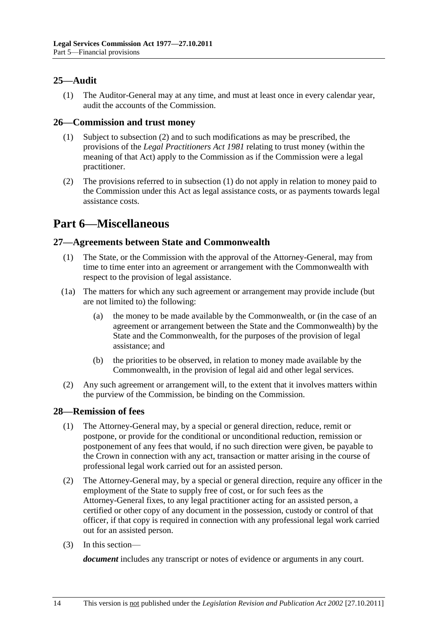#### <span id="page-13-0"></span>**25—Audit**

(1) The Auditor-General may at any time, and must at least once in every calendar year, audit the accounts of the Commission.

#### <span id="page-13-6"></span><span id="page-13-1"></span>**26—Commission and trust money**

- (1) Subject to [subsection](#page-13-5) (2) and to such modifications as may be prescribed, the provisions of the *[Legal Practitioners Act](http://www.legislation.sa.gov.au/index.aspx?action=legref&type=act&legtitle=Legal%20Practitioners%20Act%201981) 1981* relating to trust money (within the meaning of that Act) apply to the Commission as if the Commission were a legal practitioner.
- <span id="page-13-5"></span>(2) The provisions referred to in [subsection](#page-13-6) (1) do not apply in relation to money paid to the Commission under this Act as legal assistance costs, or as payments towards legal assistance costs.

## <span id="page-13-2"></span>**Part 6—Miscellaneous**

#### <span id="page-13-3"></span>**27—Agreements between State and Commonwealth**

- (1) The State, or the Commission with the approval of the Attorney-General, may from time to time enter into an agreement or arrangement with the Commonwealth with respect to the provision of legal assistance.
- (1a) The matters for which any such agreement or arrangement may provide include (but are not limited to) the following:
	- (a) the money to be made available by the Commonwealth, or (in the case of an agreement or arrangement between the State and the Commonwealth) by the State and the Commonwealth, for the purposes of the provision of legal assistance; and
	- (b) the priorities to be observed, in relation to money made available by the Commonwealth, in the provision of legal aid and other legal services.
- (2) Any such agreement or arrangement will, to the extent that it involves matters within the purview of the Commission, be binding on the Commission.

#### <span id="page-13-4"></span>**28—Remission of fees**

- (1) The Attorney-General may, by a special or general direction, reduce, remit or postpone, or provide for the conditional or unconditional reduction, remission or postponement of any fees that would, if no such direction were given, be payable to the Crown in connection with any act, transaction or matter arising in the course of professional legal work carried out for an assisted person.
- (2) The Attorney-General may, by a special or general direction, require any officer in the employment of the State to supply free of cost, or for such fees as the Attorney-General fixes, to any legal practitioner acting for an assisted person, a certified or other copy of any document in the possession, custody or control of that officer, if that copy is required in connection with any professional legal work carried out for an assisted person.
- (3) In this section—

*document* includes any transcript or notes of evidence or arguments in any court.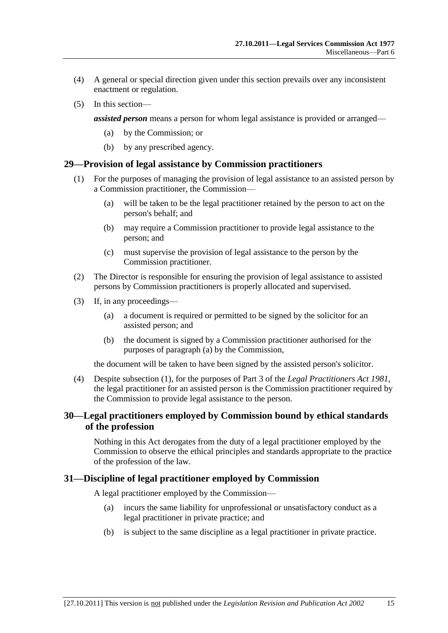- (4) A general or special direction given under this section prevails over any inconsistent enactment or regulation.
- (5) In this section—

*assisted person* means a person for whom legal assistance is provided or arranged—

- (a) by the Commission; or
- (b) by any prescribed agency.

#### <span id="page-14-4"></span><span id="page-14-0"></span>**29—Provision of legal assistance by Commission practitioners**

- (1) For the purposes of managing the provision of legal assistance to an assisted person by a Commission practitioner, the Commission—
	- (a) will be taken to be the legal practitioner retained by the person to act on the person's behalf; and
	- (b) may require a Commission practitioner to provide legal assistance to the person; and
	- (c) must supervise the provision of legal assistance to the person by the Commission practitioner.
- (2) The Director is responsible for ensuring the provision of legal assistance to assisted persons by Commission practitioners is properly allocated and supervised.
- <span id="page-14-3"></span>(3) If, in any proceedings—
	- (a) a document is required or permitted to be signed by the solicitor for an assisted person; and
	- (b) the document is signed by a Commission practitioner authorised for the purposes of [paragraph](#page-14-3) (a) by the Commission,

the document will be taken to have been signed by the assisted person's solicitor.

(4) Despite [subsection](#page-14-4) (1), for the purposes of Part 3 of the *[Legal Practitioners Act](http://www.legislation.sa.gov.au/index.aspx?action=legref&type=act&legtitle=Legal%20Practitioners%20Act%201981) 1981*, the legal practitioner for an assisted person is the Commission practitioner required by the Commission to provide legal assistance to the person.

#### <span id="page-14-1"></span>**30—Legal practitioners employed by Commission bound by ethical standards of the profession**

Nothing in this Act derogates from the duty of a legal practitioner employed by the Commission to observe the ethical principles and standards appropriate to the practice of the profession of the law.

#### <span id="page-14-2"></span>**31—Discipline of legal practitioner employed by Commission**

A legal practitioner employed by the Commission—

- (a) incurs the same liability for unprofessional or unsatisfactory conduct as a legal practitioner in private practice; and
- (b) is subject to the same discipline as a legal practitioner in private practice.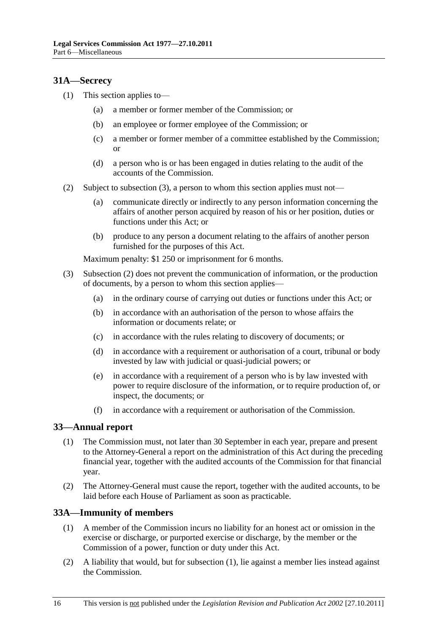#### <span id="page-15-0"></span>**31A—Secrecy**

- (1) This section applies to—
	- (a) a member or former member of the Commission; or
	- (b) an employee or former employee of the Commission; or
	- (c) a member or former member of a committee established by the Commission; or
	- (d) a person who is or has been engaged in duties relating to the audit of the accounts of the Commission.
- <span id="page-15-4"></span>(2) Subject to [subsection](#page-15-3) (3), a person to whom this section applies must not—
	- (a) communicate directly or indirectly to any person information concerning the affairs of another person acquired by reason of his or her position, duties or functions under this Act; or
	- (b) produce to any person a document relating to the affairs of another person furnished for the purposes of this Act.

Maximum penalty: \$1 250 or imprisonment for 6 months.

- <span id="page-15-3"></span>(3) [Subsection](#page-15-4) (2) does not prevent the communication of information, or the production of documents, by a person to whom this section applies—
	- (a) in the ordinary course of carrying out duties or functions under this Act; or
	- (b) in accordance with an authorisation of the person to whose affairs the information or documents relate; or
	- (c) in accordance with the rules relating to discovery of documents; or
	- (d) in accordance with a requirement or authorisation of a court, tribunal or body invested by law with judicial or quasi-judicial powers; or
	- (e) in accordance with a requirement of a person who is by law invested with power to require disclosure of the information, or to require production of, or inspect, the documents; or
	- (f) in accordance with a requirement or authorisation of the Commission.

#### <span id="page-15-1"></span>**33—Annual report**

- (1) The Commission must, not later than 30 September in each year, prepare and present to the Attorney-General a report on the administration of this Act during the preceding financial year, together with the audited accounts of the Commission for that financial year.
- (2) The Attorney-General must cause the report, together with the audited accounts, to be laid before each House of Parliament as soon as practicable.

#### <span id="page-15-5"></span><span id="page-15-2"></span>**33A—Immunity of members**

- (1) A member of the Commission incurs no liability for an honest act or omission in the exercise or discharge, or purported exercise or discharge, by the member or the Commission of a power, function or duty under this Act.
- (2) A liability that would, but for [subsection](#page-15-5) (1), lie against a member lies instead against the Commission.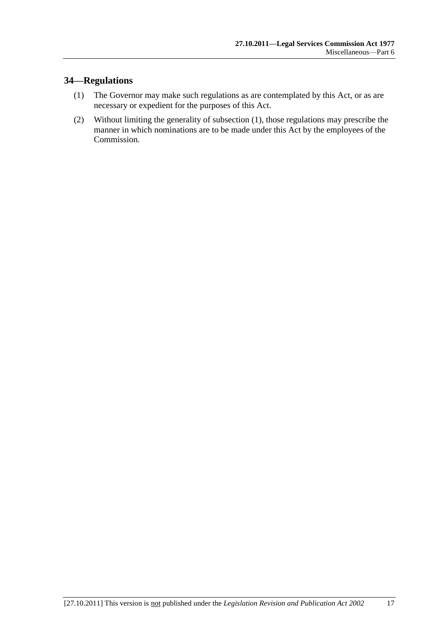## <span id="page-16-0"></span>**34—Regulations**

- <span id="page-16-1"></span>(1) The Governor may make such regulations as are contemplated by this Act, or as are necessary or expedient for the purposes of this Act.
- (2) Without limiting the generality of [subsection](#page-16-1) (1), those regulations may prescribe the manner in which nominations are to be made under this Act by the employees of the Commission.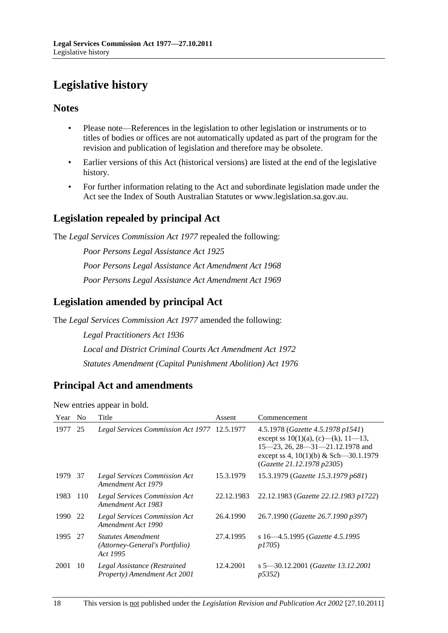## <span id="page-17-0"></span>**Legislative history**

#### **Notes**

- Please note—References in the legislation to other legislation or instruments or to titles of bodies or offices are not automatically updated as part of the program for the revision and publication of legislation and therefore may be obsolete.
- Earlier versions of this Act (historical versions) are listed at the end of the legislative history.
- For further information relating to the Act and subordinate legislation made under the Act see the Index of South Australian Statutes or www.legislation.sa.gov.au.

## **Legislation repealed by principal Act**

The *Legal Services Commission Act 1977* repealed the following:

*Poor Persons Legal Assistance Act 1925 Poor Persons Legal Assistance Act Amendment Act 1968 Poor Persons Legal Assistance Act Amendment Act 1969*

## **Legislation amended by principal Act**

The *Legal Services Commission Act 1977* amended the following:

*Legal Practitioners Act 1936 Local and District Criminal Courts Act Amendment Act 1972 Statutes Amendment (Capital Punishment Abolition) Act 1976*

## **Principal Act and amendments**

New entries appear in bold.

| Year | N <sub>o</sub> | Title                                                                   | Assent     | Commencement                                                                                                                                                                                     |
|------|----------------|-------------------------------------------------------------------------|------------|--------------------------------------------------------------------------------------------------------------------------------------------------------------------------------------------------|
| 1977 | 25             | Legal Services Commission Act 1977 12.5.1977                            |            | 4.5.1978 (Gazette 4.5.1978 p1541)<br>except ss $10(1)(a)$ , (c)—(k), $11-13$ ,<br>$15-23$ , 26, 28 $-31-21.12.1978$ and<br>except ss 4, $10(1)(b)$ & Sch—30.1.1979<br>(Gazette 21.12.1978 p2305) |
| 1979 | -37            | <b>Legal Services Commission Act</b><br>Amendment Act 1979              | 15.3.1979  | 15.3.1979 (Gazette 15.3.1979 p681)                                                                                                                                                               |
| 1983 | 110            | <b>Legal Services Commission Act</b><br>Amendment Act 1983              | 22.12.1983 | 22.12.1983 (Gazette 22.12.1983 p1722)                                                                                                                                                            |
| 1990 | 22             | <b>Legal Services Commission Act</b><br>Amendment Act 1990              | 26.4.1990  | 26.7.1990 (Gazette 26.7.1990 p397)                                                                                                                                                               |
| 1995 | 27             | <b>Statutes Amendment</b><br>(Attorney-General's Portfolio)<br>Act 1995 | 27.4.1995  | s 16–4.5.1995 (Gazette 4.5.1995)<br><i>p1705</i> )                                                                                                                                               |
| 2001 | 10             | Legal Assistance (Restrained<br>Property) Amendment Act 2001            | 12.4.2001  | s 5–30.12.2001 (Gazette 13.12.2001<br><i>p</i> 5352)                                                                                                                                             |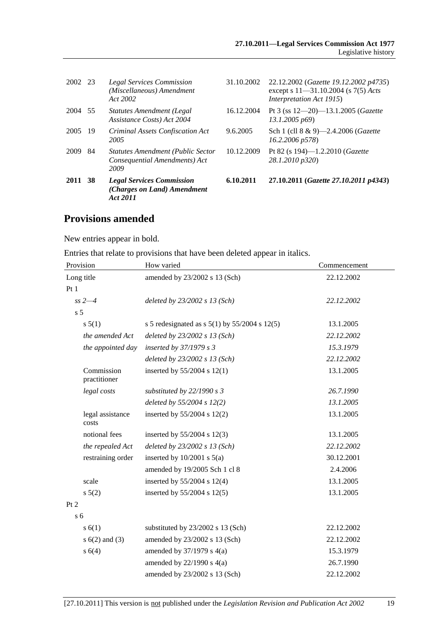| 2002 23 |     | <b>Legal Services Commission</b><br>(Miscellaneous) Amendment<br>Act 2002         | 31.10.2002 | 22.12.2002 (Gazette 19.12.2002 p4735)<br>except s $11 - 31.10.2004$ (s $7(5)$ Acts<br>Interpretation Act 1915) |
|---------|-----|-----------------------------------------------------------------------------------|------------|----------------------------------------------------------------------------------------------------------------|
| 2004    | 55  | <b>Statutes Amendment (Legal</b><br>Assistance Costs) Act 2004                    | 16.12.2004 | Pt 3 (ss $12-20-13.1.2005$ (Gazette<br>13.1.2005 p69                                                           |
| 2005    | -19 | Criminal Assets Confiscation Act<br>2005                                          | 9.6.2005   | Sch 1 (cll 8 & 9)-2.4.2006 ( <i>Gazette</i><br>$16.2.2006 \ p578$                                              |
| 2009    | 84  | <b>Statutes Amendment (Public Sector</b><br>Consequential Amendments) Act<br>2009 | 10.12.2009 | Pt 82 (s 194)—1.2.2010 ( <i>Gazette</i><br>28.1.2010 p320)                                                     |
| 2011    | -38 | <b>Legal Services Commission</b><br>(Charges on Land) Amendment<br>Act 2011       | 6.10.2011  | 27.10.2011 (Gazette 27.10.2011 p4343)                                                                          |

### **Provisions amended**

New entries appear in bold.

Entries that relate to provisions that have been deleted appear in italics.

| Provision                  | How varied                                          | Commencement |  |
|----------------------------|-----------------------------------------------------|--------------|--|
| Long title                 | amended by 23/2002 s 13 (Sch)                       | 22.12.2002   |  |
| Pt1                        |                                                     |              |  |
| $ss 2 - 4$                 | deleted by $23/2002$ s 13 (Sch)                     | 22.12.2002   |  |
| s <sub>5</sub>             |                                                     |              |  |
| s 5(1)                     | s 5 redesignated as s $5(1)$ by $55/2004$ s $12(5)$ | 13.1.2005    |  |
| the amended Act            | deleted by $23/2002$ s 13 (Sch)                     | 22.12.2002   |  |
| the appointed day          | inserted by 37/1979 s 3                             | 15.3.1979    |  |
|                            | deleted by $23/2002$ s 13 (Sch)                     | 22.12.2002   |  |
| Commission<br>practitioner | inserted by $55/2004$ s $12(1)$                     | 13.1.2005    |  |
| legal costs                | substituted by $22/1990 s 3$                        | 26.7.1990    |  |
|                            | deleted by $55/2004$ s $12(2)$                      | 13.1.2005    |  |
| legal assistance<br>costs  | inserted by $55/2004$ s 12(2)                       | 13.1.2005    |  |
| notional fees              | inserted by $55/2004$ s 12(3)                       | 13.1.2005    |  |
| the repealed Act           | deleted by $23/2002$ s 13 (Sch)                     | 22.12.2002   |  |
| restraining order          | inserted by $10/2001$ s $5(a)$                      | 30.12.2001   |  |
|                            | amended by 19/2005 Sch 1 cl 8                       | 2.4.2006     |  |
| scale                      | inserted by $55/2004$ s 12(4)                       | 13.1.2005    |  |
| s 5(2)                     | inserted by $55/2004$ s 12(5)                       | 13.1.2005    |  |
| Pt 2                       |                                                     |              |  |
| s <sub>6</sub>             |                                                     |              |  |
| s(6(1))                    | substituted by 23/2002 s 13 (Sch)                   | 22.12.2002   |  |
| $s(6(2)$ and $(3)$         | amended by 23/2002 s 13 (Sch)                       | 22.12.2002   |  |
| s 6(4)                     | amended by $37/1979$ s $4(a)$                       | 15.3.1979    |  |
|                            | amended by $22/1990$ s $4(a)$                       | 26.7.1990    |  |
|                            | amended by 23/2002 s 13 (Sch)                       | 22.12.2002   |  |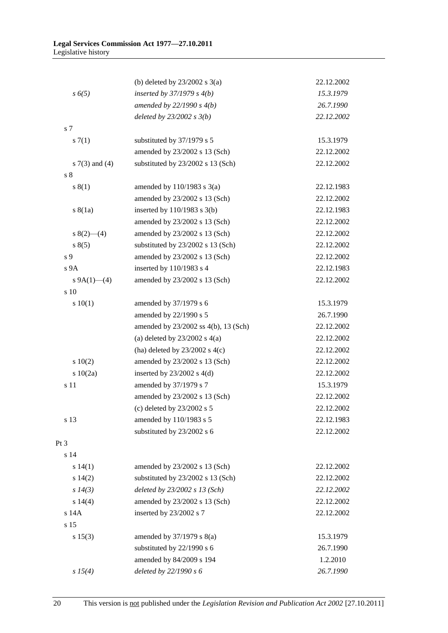|                    | (b) deleted by $23/2002$ s $3(a)$    | 22.12.2002 |
|--------------------|--------------------------------------|------------|
| s 6(5)             | inserted by $37/1979 s 4(b)$         | 15.3.1979  |
|                    | amended by $22/1990 s 4(b)$          | 26.7.1990  |
|                    | deleted by $23/2002 s 3(b)$          | 22.12.2002 |
| s 7                |                                      |            |
| s(7(1)             | substituted by 37/1979 s 5           | 15.3.1979  |
|                    | amended by 23/2002 s 13 (Sch)        | 22.12.2002 |
| s $7(3)$ and $(4)$ | substituted by 23/2002 s 13 (Sch)    | 22.12.2002 |
| s <sub>8</sub>     |                                      |            |
| s(1)               | amended by $110/1983$ s $3(a)$       | 22.12.1983 |
|                    | amended by 23/2002 s 13 (Sch)        | 22.12.2002 |
| s(8(1a))           | inserted by 110/1983 s 3(b)          | 22.12.1983 |
|                    | amended by 23/2002 s 13 (Sch)        | 22.12.2002 |
| $s(2)$ (4)         | amended by 23/2002 s 13 (Sch)        | 22.12.2002 |
| s(5)               | substituted by 23/2002 s 13 (Sch)    | 22.12.2002 |
| s 9                | amended by 23/2002 s 13 (Sch)        | 22.12.2002 |
| s <sub>9A</sub>    | inserted by 110/1983 s 4             | 22.12.1983 |
| s $9A(1)$ —(4)     | amended by 23/2002 s 13 (Sch)        | 22.12.2002 |
| s 10               |                                      |            |
| 10(1)              | amended by 37/1979 s 6               | 15.3.1979  |
|                    | amended by 22/1990 s 5               | 26.7.1990  |
|                    | amended by 23/2002 ss 4(b), 13 (Sch) | 22.12.2002 |
|                    | (a) deleted by $23/2002$ s $4(a)$    | 22.12.2002 |
|                    | (ha) deleted by $23/2002$ s 4(c)     | 22.12.2002 |
| 10(2)              | amended by 23/2002 s 13 (Sch)        | 22.12.2002 |
| s 10(2a)           | inserted by $23/2002$ s $4(d)$       | 22.12.2002 |
| s 11               | amended by 37/1979 s 7               | 15.3.1979  |
|                    | amended by 23/2002 s 13 (Sch)        | 22.12.2002 |
|                    | (c) deleted by $23/2002$ s 5         | 22.12.2002 |
| s 13               | amended by 110/1983 s 5              | 22.12.1983 |
|                    | substituted by 23/2002 s 6           | 22.12.2002 |
| Pt 3               |                                      |            |
| s 14               |                                      |            |
| s 14(1)            | amended by 23/2002 s 13 (Sch)        | 22.12.2002 |
| s 14(2)            | substituted by 23/2002 s 13 (Sch)    | 22.12.2002 |
| $s\,14(3)$         | deleted by 23/2002 s 13 (Sch)        | 22.12.2002 |
| s 14(4)            | amended by 23/2002 s 13 (Sch)        | 22.12.2002 |
| s 14A              | inserted by 23/2002 s 7              | 22.12.2002 |
| s 15               |                                      |            |
| s 15(3)            | amended by $37/1979$ s $8(a)$        | 15.3.1979  |
|                    | substituted by 22/1990 s 6           | 26.7.1990  |
|                    | amended by 84/2009 s 194             | 1.2.2010   |
| s 15(4)            | deleted by 22/1990 s 6               | 26.7.1990  |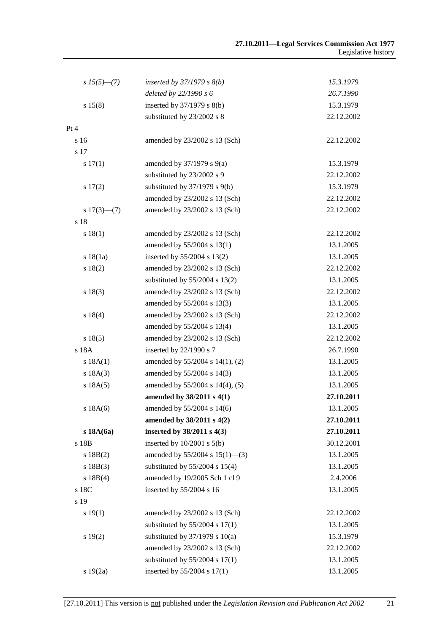| $s\,15(5)$ —(7) | inserted by $37/1979$ s $8(b)$      | 15.3.1979  |
|-----------------|-------------------------------------|------------|
|                 | deleted by 22/1990 s 6              | 26.7.1990  |
| s 15(8)         | inserted by $37/1979$ s $8(b)$      | 15.3.1979  |
|                 | substituted by 23/2002 s 8          | 22.12.2002 |
| Pt 4            |                                     |            |
| s 16            | amended by 23/2002 s 13 (Sch)       | 22.12.2002 |
| s 17            |                                     |            |
| s 17(1)         | amended by $37/1979$ s $9(a)$       | 15.3.1979  |
|                 | substituted by 23/2002 s 9          | 22.12.2002 |
| s 17(2)         | substituted by $37/1979$ s $9(b)$   | 15.3.1979  |
|                 | amended by 23/2002 s 13 (Sch)       | 22.12.2002 |
| $s 17(3)$ (7)   | amended by 23/2002 s 13 (Sch)       | 22.12.2002 |
| s 18            |                                     |            |
| s 18(1)         | amended by 23/2002 s 13 (Sch)       | 22.12.2002 |
|                 | amended by 55/2004 s 13(1)          | 13.1.2005  |
| s18(1a)         | inserted by $55/2004$ s $13(2)$     | 13.1.2005  |
| s 18(2)         | amended by 23/2002 s 13 (Sch)       | 22.12.2002 |
|                 | substituted by 55/2004 s 13(2)      | 13.1.2005  |
| s 18(3)         | amended by 23/2002 s 13 (Sch)       | 22.12.2002 |
|                 | amended by 55/2004 s 13(3)          | 13.1.2005  |
| s 18(4)         | amended by 23/2002 s 13 (Sch)       | 22.12.2002 |
|                 | amended by 55/2004 s 13(4)          | 13.1.2005  |
| s 18(5)         | amended by 23/2002 s 13 (Sch)       | 22.12.2002 |
| s 18A           | inserted by $22/1990$ s 7           | 26.7.1990  |
| s 18A(1)        | amended by 55/2004 s 14(1), (2)     | 13.1.2005  |
| s 18A(3)        | amended by 55/2004 s 14(3)          | 13.1.2005  |
| s 18A(5)        | amended by 55/2004 s 14(4), (5)     | 13.1.2005  |
|                 | amended by 38/2011 s 4(1)           | 27.10.2011 |
| s 18A(6)        | amended by 55/2004 s 14(6)          | 13.1.2005  |
|                 | amended by 38/2011 s 4(2)           | 27.10.2011 |
| s18A(6a)        | inserted by 38/2011 s 4(3)          | 27.10.2011 |
| s 18B           | inserted by $10/2001$ s $5(b)$      | 30.12.2001 |
| s 18B(2)        | amended by $55/2004$ s $15(1)$ —(3) | 13.1.2005  |
| s 18B(3)        | substituted by $55/2004$ s $15(4)$  | 13.1.2005  |
| s 18B(4)        | amended by 19/2005 Sch 1 cl 9       | 2.4.2006   |
| s 18C           | inserted by 55/2004 s 16            | 13.1.2005  |
| s 19            |                                     |            |
| s 19(1)         | amended by 23/2002 s 13 (Sch)       | 22.12.2002 |
|                 | substituted by $55/2004$ s $17(1)$  | 13.1.2005  |
| s 19(2)         | substituted by $37/1979$ s $10(a)$  | 15.3.1979  |
|                 | amended by 23/2002 s 13 (Sch)       | 22.12.2002 |
|                 | substituted by $55/2004$ s $17(1)$  | 13.1.2005  |
| s 19(2a)        | inserted by 55/2004 s 17(1)         | 13.1.2005  |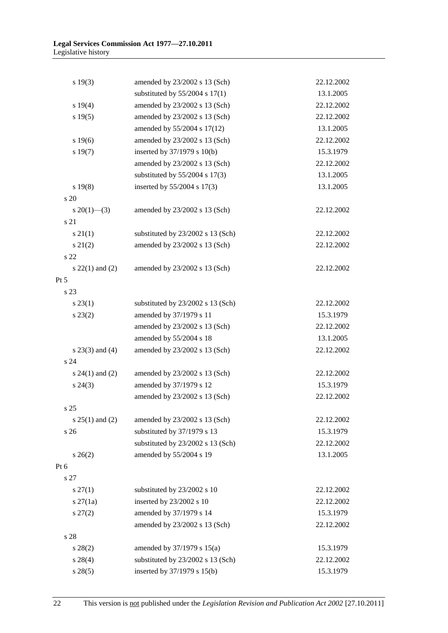| s 19(3)             | amended by 23/2002 s 13 (Sch)      | 22.12.2002 |
|---------------------|------------------------------------|------------|
|                     | substituted by $55/2004$ s $17(1)$ | 13.1.2005  |
| s 19(4)             | amended by 23/2002 s 13 (Sch)      | 22.12.2002 |
| s 19(5)             | amended by 23/2002 s 13 (Sch)      | 22.12.2002 |
|                     | amended by 55/2004 s 17(12)        | 13.1.2005  |
| s 19(6)             | amended by 23/2002 s 13 (Sch)      | 22.12.2002 |
| s 19(7)             | inserted by 37/1979 s 10(b)        | 15.3.1979  |
|                     | amended by 23/2002 s 13 (Sch)      | 22.12.2002 |
|                     | substituted by $55/2004$ s $17(3)$ | 13.1.2005  |
| s 19(8)             | inserted by 55/2004 s 17(3)        | 13.1.2005  |
| s 20                |                                    |            |
| $s \ 20(1)$ —(3)    | amended by 23/2002 s 13 (Sch)      | 22.12.2002 |
| s 21                |                                    |            |
| $s \, 21(1)$        | substituted by 23/2002 s 13 (Sch)  | 22.12.2002 |
| $s\ 21(2)$          | amended by 23/2002 s 13 (Sch)      | 22.12.2002 |
| s 22                |                                    |            |
| $s$ 22(1) and (2)   | amended by 23/2002 s 13 (Sch)      | 22.12.2002 |
| $Pt\ 5$             |                                    |            |
| s 23                |                                    |            |
| $s\,23(1)$          | substituted by 23/2002 s 13 (Sch)  | 22.12.2002 |
| $s\,23(2)$          | amended by 37/1979 s 11            | 15.3.1979  |
|                     | amended by 23/2002 s 13 (Sch)      | 22.12.2002 |
|                     | amended by 55/2004 s 18            | 13.1.2005  |
| $s$ 23(3) and (4)   | amended by 23/2002 s 13 (Sch)      | 22.12.2002 |
| s <sub>24</sub>     |                                    |            |
| s $24(1)$ and $(2)$ | amended by 23/2002 s 13 (Sch)      | 22.12.2002 |
| $s\,24(3)$          | amended by 37/1979 s 12            | 15.3.1979  |
|                     | amended by 23/2002 s 13 (Sch)      | 22.12.2002 |
| s 25                |                                    |            |
| $s 25(1)$ and (2)   | amended by 23/2002 s 13 (Sch)      | 22.12.2002 |
| s 26                | substituted by 37/1979 s 13        | 15.3.1979  |
|                     | substituted by 23/2002 s 13 (Sch)  | 22.12.2002 |
| $s \, 26(2)$        | amended by 55/2004 s 19            | 13.1.2005  |
| Pt 6                |                                    |            |
| s 27                |                                    |            |
| $s \, 27(1)$        | substituted by 23/2002 s 10        | 22.12.2002 |
| $s \, 27(1a)$       | inserted by 23/2002 s 10           | 22.12.2002 |
| $s\,27(2)$          | amended by 37/1979 s 14            | 15.3.1979  |
|                     | amended by 23/2002 s 13 (Sch)      | 22.12.2002 |
| s 28                |                                    |            |
| $s\,28(2)$          | amended by 37/1979 s 15(a)         | 15.3.1979  |
| $s\,28(4)$          | substituted by 23/2002 s 13 (Sch)  | 22.12.2002 |
| s 28(5)             | inserted by 37/1979 s 15(b)        | 15.3.1979  |